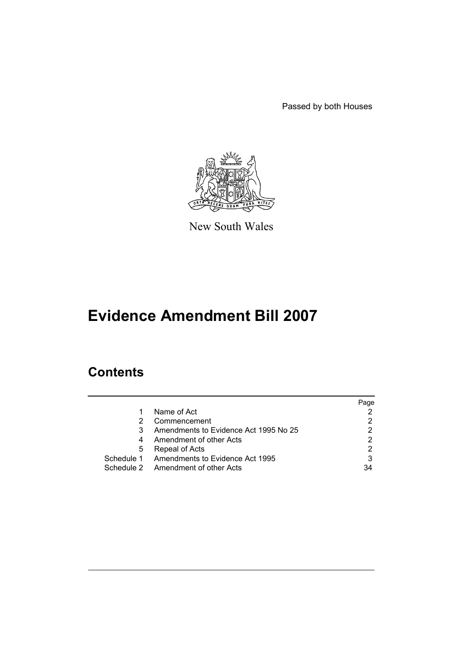Passed by both Houses



New South Wales

# **Evidence Amendment Bill 2007**

# **Contents**

|   |                                            | Page |
|---|--------------------------------------------|------|
|   | Name of Act                                |      |
| 2 | Commencement                               |      |
| 3 | Amendments to Evidence Act 1995 No 25      |      |
| 4 | Amendment of other Acts                    | 2    |
| 5 | Repeal of Acts                             |      |
|   | Schedule 1 Amendments to Evidence Act 1995 | 3    |
|   | Schedule 2 Amendment of other Acts         | 34   |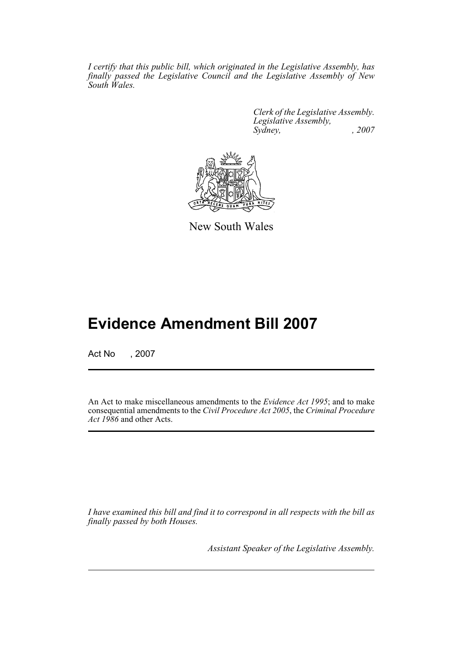*I certify that this public bill, which originated in the Legislative Assembly, has finally passed the Legislative Council and the Legislative Assembly of New South Wales.*

> *Clerk of the Legislative Assembly. Legislative Assembly, Sydney, , 2007*



New South Wales

# **Evidence Amendment Bill 2007**

Act No , 2007

An Act to make miscellaneous amendments to the *Evidence Act 1995*; and to make consequential amendments to the *Civil Procedure Act 2005*, the *Criminal Procedure Act 1986* and other Acts.

*I have examined this bill and find it to correspond in all respects with the bill as finally passed by both Houses.*

*Assistant Speaker of the Legislative Assembly.*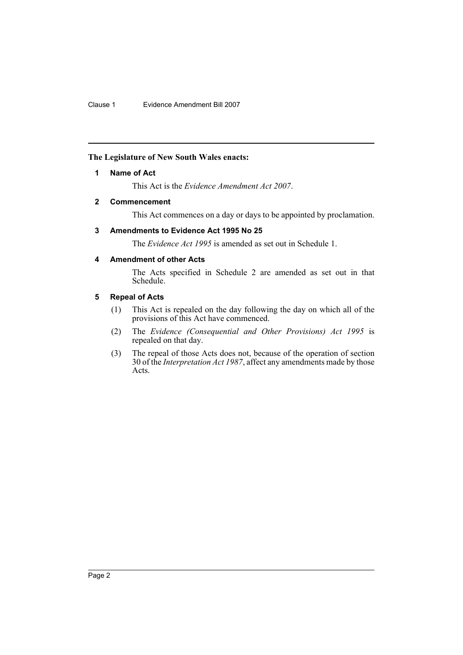# <span id="page-2-0"></span>**The Legislature of New South Wales enacts:**

# **1 Name of Act**

This Act is the *Evidence Amendment Act 2007*.

# <span id="page-2-1"></span>**2 Commencement**

This Act commences on a day or days to be appointed by proclamation.

# <span id="page-2-2"></span>**3 Amendments to Evidence Act 1995 No 25**

The *Evidence Act 1995* is amended as set out in Schedule 1.

# <span id="page-2-3"></span>**4 Amendment of other Acts**

The Acts specified in Schedule 2 are amended as set out in that Schedule.

# <span id="page-2-4"></span>**5 Repeal of Acts**

- (1) This Act is repealed on the day following the day on which all of the provisions of this Act have commenced.
- (2) The *Evidence (Consequential and Other Provisions) Act 1995* is repealed on that day.
- (3) The repeal of those Acts does not, because of the operation of section 30 of the *Interpretation Act 1987*, affect any amendments made by those Acts.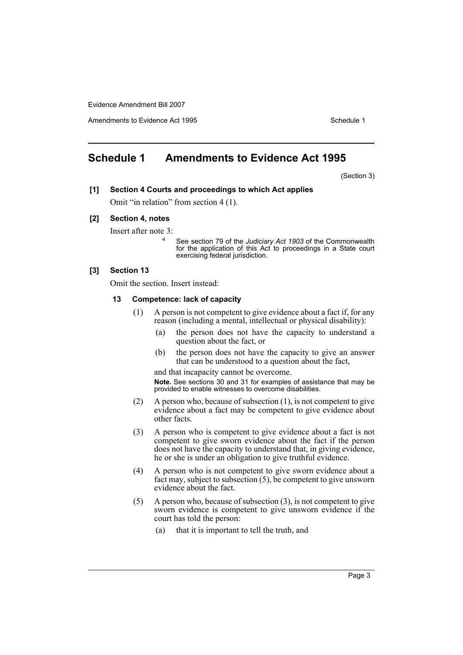Amendments to Evidence Act 1995 Schedule 1

# <span id="page-3-0"></span>**Schedule 1 Amendments to Evidence Act 1995**

(Section 3)

# **[1] Section 4 Courts and proceedings to which Act applies**

Omit "in relation" from section 4 (1).

# **[2] Section 4, notes**

Insert after note 3:

<sup>4</sup> See section 79 of the *Judiciary Act 1903* of the Commonwealth for the application of this Act to proceedings in a State court exercising federal jurisdiction.

# **[3] Section 13**

Omit the section. Insert instead:

#### **13 Competence: lack of capacity**

- (1) A person is not competent to give evidence about a fact if, for any reason (including a mental, intellectual or physical disability):
	- (a) the person does not have the capacity to understand a question about the fact, or
	- (b) the person does not have the capacity to give an answer that can be understood to a question about the fact,

and that incapacity cannot be overcome.

**Note.** See sections 30 and 31 for examples of assistance that may be provided to enable witnesses to overcome disabilities.

- (2) A person who, because of subsection (1), is not competent to give evidence about a fact may be competent to give evidence about other facts.
- (3) A person who is competent to give evidence about a fact is not competent to give sworn evidence about the fact if the person does not have the capacity to understand that, in giving evidence, he or she is under an obligation to give truthful evidence.
- (4) A person who is not competent to give sworn evidence about a fact may, subject to subsection (5), be competent to give unsworn evidence about the fact.
- (5) A person who, because of subsection (3), is not competent to give sworn evidence is competent to give unsworn evidence if the court has told the person:
	- (a) that it is important to tell the truth, and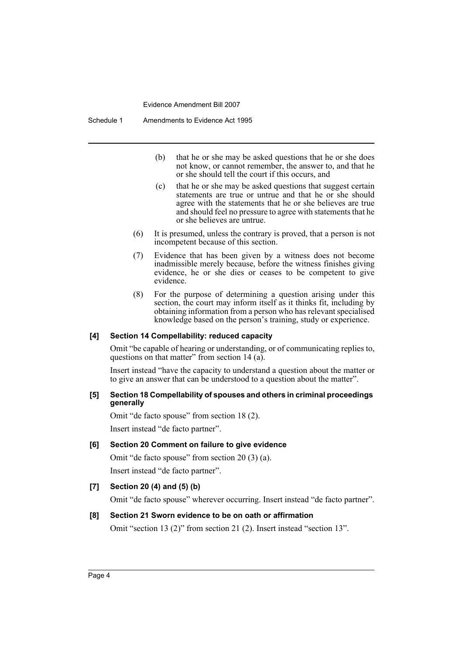- (b) that he or she may be asked questions that he or she does not know, or cannot remember, the answer to, and that he or she should tell the court if this occurs, and
- (c) that he or she may be asked questions that suggest certain statements are true or untrue and that he or she should agree with the statements that he or she believes are true and should feel no pressure to agree with statements that he or she believes are untrue.
- (6) It is presumed, unless the contrary is proved, that a person is not incompetent because of this section.
- (7) Evidence that has been given by a witness does not become inadmissible merely because, before the witness finishes giving evidence, he or she dies or ceases to be competent to give evidence.
- (8) For the purpose of determining a question arising under this section, the court may inform itself as it thinks fit, including by obtaining information from a person who has relevant specialised knowledge based on the person's training, study or experience.

# **[4] Section 14 Compellability: reduced capacity**

Omit "be capable of hearing or understanding, or of communicating replies to, questions on that matter" from section 14 (a).

Insert instead "have the capacity to understand a question about the matter or to give an answer that can be understood to a question about the matter".

## **[5] Section 18 Compellability of spouses and others in criminal proceedings generally**

Omit "de facto spouse" from section 18 (2).

Insert instead "de facto partner".

# **[6] Section 20 Comment on failure to give evidence**

Omit "de facto spouse" from section 20 (3) (a). Insert instead "de facto partner".

# **[7] Section 20 (4) and (5) (b)**

Omit "de facto spouse" wherever occurring. Insert instead "de facto partner".

#### **[8] Section 21 Sworn evidence to be on oath or affirmation**

Omit "section 13 (2)" from section 21 (2). Insert instead "section 13".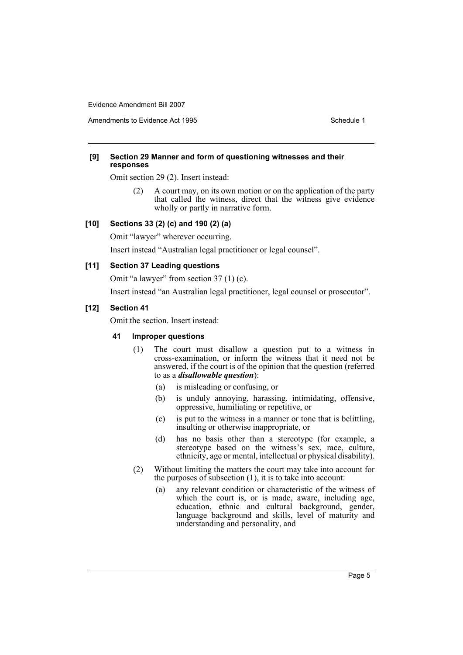Amendments to Evidence Act 1995 Schedule 1

## **[9] Section 29 Manner and form of questioning witnesses and their responses**

Omit section 29 (2). Insert instead:

(2) A court may, on its own motion or on the application of the party that called the witness, direct that the witness give evidence wholly or partly in narrative form.

# **[10] Sections 33 (2) (c) and 190 (2) (a)**

Omit "lawyer" wherever occurring.

Insert instead "Australian legal practitioner or legal counsel".

# **[11] Section 37 Leading questions**

Omit "a lawyer" from section 37 (1) (c).

Insert instead "an Australian legal practitioner, legal counsel or prosecutor".

# **[12] Section 41**

Omit the section. Insert instead:

# **41 Improper questions**

- (1) The court must disallow a question put to a witness in cross-examination, or inform the witness that it need not be answered, if the court is of the opinion that the question (referred to as a *disallowable question*):
	- (a) is misleading or confusing, or
	- (b) is unduly annoying, harassing, intimidating, offensive, oppressive, humiliating or repetitive, or
	- (c) is put to the witness in a manner or tone that is belittling, insulting or otherwise inappropriate, or
	- (d) has no basis other than a stereotype (for example, a stereotype based on the witness's sex, race, culture, ethnicity, age or mental, intellectual or physical disability).
- (2) Without limiting the matters the court may take into account for the purposes of subsection (1), it is to take into account:
	- (a) any relevant condition or characteristic of the witness of which the court is, or is made, aware, including age, education, ethnic and cultural background, gender, language background and skills, level of maturity and understanding and personality, and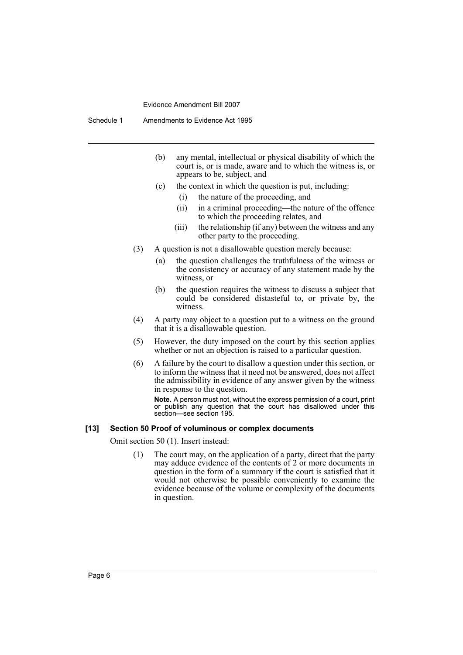Schedule 1 Amendments to Evidence Act 1995

- (b) any mental, intellectual or physical disability of which the court is, or is made, aware and to which the witness is, or appears to be, subject, and
- (c) the context in which the question is put, including:
	- (i) the nature of the proceeding, and
	- (ii) in a criminal proceeding—the nature of the offence to which the proceeding relates, and
	- (iii) the relationship (if any) between the witness and any other party to the proceeding.
- (3) A question is not a disallowable question merely because:
	- (a) the question challenges the truthfulness of the witness or the consistency or accuracy of any statement made by the witness, or
	- (b) the question requires the witness to discuss a subject that could be considered distasteful to, or private by, the witness.
- (4) A party may object to a question put to a witness on the ground that it is a disallowable question.
- (5) However, the duty imposed on the court by this section applies whether or not an objection is raised to a particular question.
- (6) A failure by the court to disallow a question under this section, or to inform the witness that it need not be answered, does not affect the admissibility in evidence of any answer given by the witness in response to the question.

**Note.** A person must not, without the express permission of a court, print or publish any question that the court has disallowed under this section—see section 195.

#### **[13] Section 50 Proof of voluminous or complex documents**

Omit section 50 (1). Insert instead:

(1) The court may, on the application of a party, direct that the party may adduce evidence of the contents of 2 or more documents in question in the form of a summary if the court is satisfied that it would not otherwise be possible conveniently to examine the evidence because of the volume or complexity of the documents in question.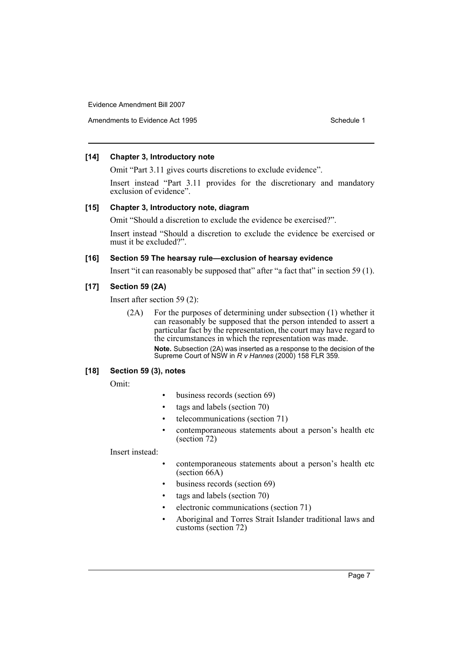Amendments to Evidence Act 1995 Schedule 1

# **[14] Chapter 3, Introductory note**

Omit "Part 3.11 gives courts discretions to exclude evidence".

Insert instead "Part 3.11 provides for the discretionary and mandatory exclusion of evidence".

## **[15] Chapter 3, Introductory note, diagram**

Omit "Should a discretion to exclude the evidence be exercised?".

Insert instead "Should a discretion to exclude the evidence be exercised or must it be excluded?".

# **[16] Section 59 The hearsay rule—exclusion of hearsay evidence**

Insert "it can reasonably be supposed that" after "a fact that" in section 59 (1).

# **[17] Section 59 (2A)**

Insert after section 59 (2):

(2A) For the purposes of determining under subsection (1) whether it can reasonably be supposed that the person intended to assert a particular fact by the representation, the court may have regard to the circumstances in which the representation was made. **Note.** Subsection (2A) was inserted as a response to the decision of the Supreme Court of NSW in *R v Hannes* (2000) 158 FLR 359.

# **[18] Section 59 (3), notes**

Omit:

- business records (section 69)
- tags and labels (section 70)
- telecommunications (section 71)
- contemporaneous statements about a person's health etc (section 72)

Insert instead:

- contemporaneous statements about a person's health etc (section 66A)
- business records (section 69)
- tags and labels (section 70)
- electronic communications (section 71)
- Aboriginal and Torres Strait Islander traditional laws and customs (section 72)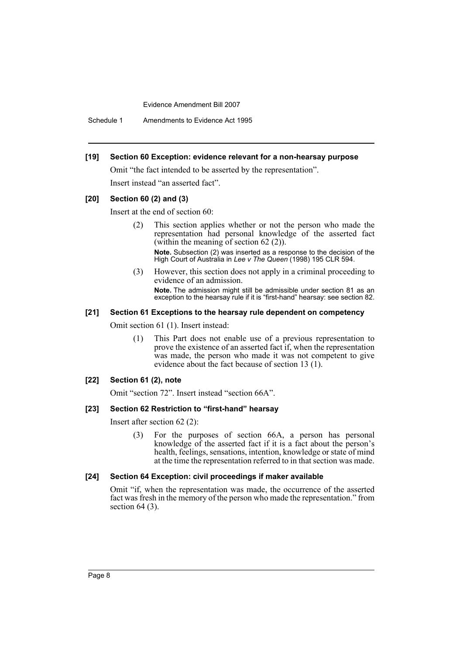Schedule 1 Amendments to Evidence Act 1995

## **[19] Section 60 Exception: evidence relevant for a non-hearsay purpose**

Omit "the fact intended to be asserted by the representation".

Insert instead "an asserted fact".

## **[20] Section 60 (2) and (3)**

Insert at the end of section 60:

(2) This section applies whether or not the person who made the representation had personal knowledge of the asserted fact (within the meaning of section 62 (2)).

**Note.** Subsection (2) was inserted as a response to the decision of the High Court of Australia in *Lee v The Queen* (1998) 195 CLR 594.

(3) However, this section does not apply in a criminal proceeding to evidence of an admission. **Note.** The admission might still be admissible under section 81 as an exception to the hearsay rule if it is "first-hand" hearsay: see section 82.

#### **[21] Section 61 Exceptions to the hearsay rule dependent on competency**

Omit section 61 (1). Insert instead:

(1) This Part does not enable use of a previous representation to prove the existence of an asserted fact if, when the representation was made, the person who made it was not competent to give evidence about the fact because of section 13 (1).

#### **[22] Section 61 (2), note**

Omit "section 72". Insert instead "section 66A".

#### **[23] Section 62 Restriction to "first-hand" hearsay**

Insert after section 62 (2):

(3) For the purposes of section 66A, a person has personal knowledge of the asserted fact if it is a fact about the person's health, feelings, sensations, intention, knowledge or state of mind at the time the representation referred to in that section was made.

#### **[24] Section 64 Exception: civil proceedings if maker available**

Omit "if, when the representation was made, the occurrence of the asserted fact was fresh in the memory of the person who made the representation." from section  $64$  (3).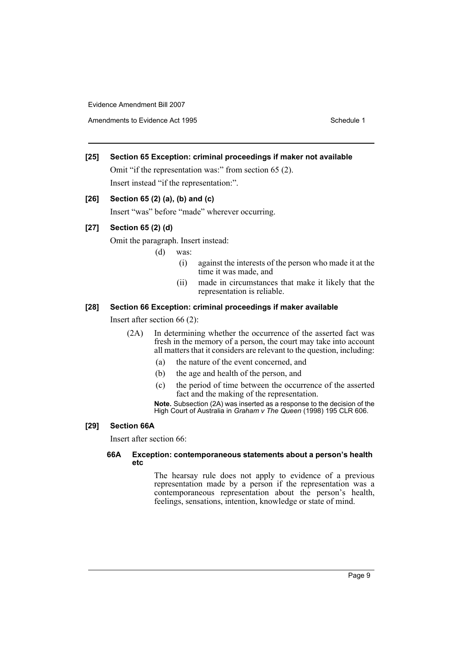Amendments to Evidence Act 1995 Schedule 1

# **[25] Section 65 Exception: criminal proceedings if maker not available**

Omit "if the representation was:" from section 65 (2). Insert instead "if the representation:".

# **[26] Section 65 (2) (a), (b) and (c)**

Insert "was" before "made" wherever occurring.

# **[27] Section 65 (2) (d)**

Omit the paragraph. Insert instead:

- (d) was:
	- (i) against the interests of the person who made it at the time it was made, and
	- (ii) made in circumstances that make it likely that the representation is reliable.

## **[28] Section 66 Exception: criminal proceedings if maker available**

Insert after section 66 (2):

- (2A) In determining whether the occurrence of the asserted fact was fresh in the memory of a person, the court may take into account all matters that it considers are relevant to the question, including:
	- (a) the nature of the event concerned, and
	- (b) the age and health of the person, and
	- (c) the period of time between the occurrence of the asserted fact and the making of the representation.

**Note.** Subsection (2A) was inserted as a response to the decision of the High Court of Australia in *Graham v The Queen* (1998) 195 CLR 606.

# **[29] Section 66A**

Insert after section 66:

# **66A Exception: contemporaneous statements about a person's health etc**

The hearsay rule does not apply to evidence of a previous representation made by a person if the representation was a contemporaneous representation about the person's health, feelings, sensations, intention, knowledge or state of mind.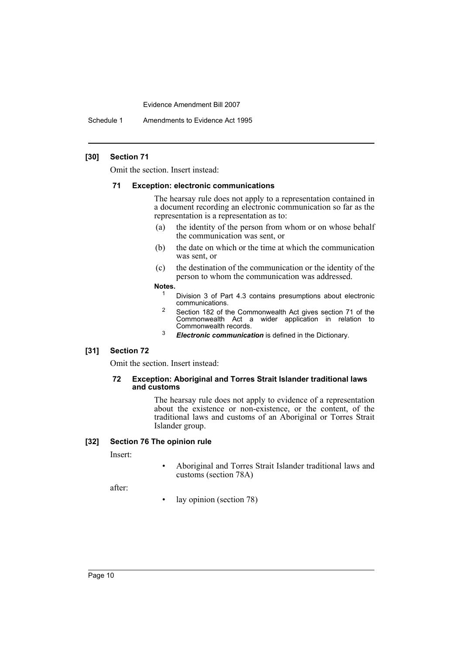Schedule 1 Amendments to Evidence Act 1995

## **[30] Section 71**

Omit the section. Insert instead:

#### **71 Exception: electronic communications**

The hearsay rule does not apply to a representation contained in a document recording an electronic communication so far as the representation is a representation as to:

- (a) the identity of the person from whom or on whose behalf the communication was sent, or
- (b) the date on which or the time at which the communication was sent, or
- (c) the destination of the communication or the identity of the person to whom the communication was addressed.
- **Notes.**
	- <sup>1</sup> Division 3 of Part 4.3 contains presumptions about electronic communications.
	- <sup>2</sup> Section 182 of the Commonwealth Act gives section 71 of the Commonwealth Act a wider application in relation to Commonwealth records.
	- <sup>3</sup> *Electronic communication* is defined in the Dictionary.

#### **[31] Section 72**

Omit the section. Insert instead:

## **72 Exception: Aboriginal and Torres Strait Islander traditional laws and customs**

The hearsay rule does not apply to evidence of a representation about the existence or non-existence, or the content, of the traditional laws and customs of an Aboriginal or Torres Strait Islander group.

# **[32] Section 76 The opinion rule**

Insert:

• Aboriginal and Torres Strait Islander traditional laws and customs (section 78A)

after:

• lay opinion (section 78)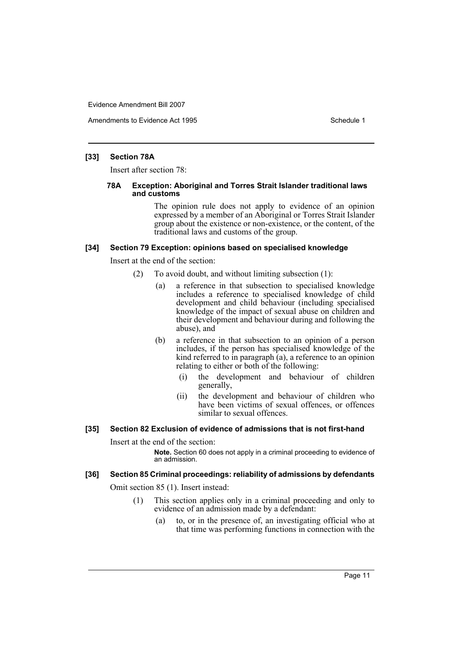Amendments to Evidence Act 1995 Schedule 1

#### **[33] Section 78A**

Insert after section 78:

#### **78A Exception: Aboriginal and Torres Strait Islander traditional laws and customs**

The opinion rule does not apply to evidence of an opinion expressed by a member of an Aboriginal or Torres Strait Islander group about the existence or non-existence, or the content, of the traditional laws and customs of the group.

#### **[34] Section 79 Exception: opinions based on specialised knowledge**

Insert at the end of the section:

- (2) To avoid doubt, and without limiting subsection (1):
	- (a) a reference in that subsection to specialised knowledge includes a reference to specialised knowledge of child development and child behaviour (including specialised knowledge of the impact of sexual abuse on children and their development and behaviour during and following the abuse), and
	- (b) a reference in that subsection to an opinion of a person includes, if the person has specialised knowledge of the kind referred to in paragraph  $(a)$ , a reference to an opinion relating to either or both of the following:
		- (i) the development and behaviour of children generally,
		- (ii) the development and behaviour of children who have been victims of sexual offences, or offences similar to sexual offences.

## **[35] Section 82 Exclusion of evidence of admissions that is not first-hand**

Insert at the end of the section:

**Note.** Section 60 does not apply in a criminal proceeding to evidence of an admission.

## **[36] Section 85 Criminal proceedings: reliability of admissions by defendants**

Omit section 85 (1). Insert instead:

- (1) This section applies only in a criminal proceeding and only to evidence of an admission made by a defendant:
	- (a) to, or in the presence of, an investigating official who at that time was performing functions in connection with the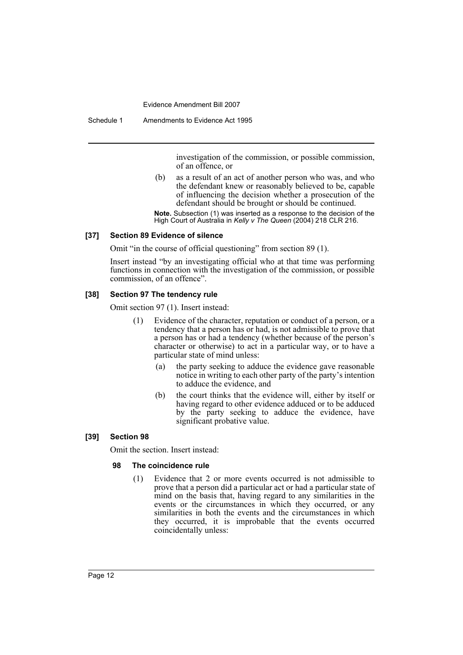Schedule 1 Amendments to Evidence Act 1995

investigation of the commission, or possible commission, of an offence, or

(b) as a result of an act of another person who was, and who the defendant knew or reasonably believed to be, capable of influencing the decision whether a prosecution of the defendant should be brought or should be continued.

**Note.** Subsection (1) was inserted as a response to the decision of the High Court of Australia in *Kelly v The Queen* (2004) 218 CLR 216.

## **[37] Section 89 Evidence of silence**

Omit "in the course of official questioning" from section 89 (1).

Insert instead "by an investigating official who at that time was performing functions in connection with the investigation of the commission, or possible commission, of an offence".

# **[38] Section 97 The tendency rule**

Omit section 97 (1). Insert instead:

- (1) Evidence of the character, reputation or conduct of a person, or a tendency that a person has or had, is not admissible to prove that a person has or had a tendency (whether because of the person's character or otherwise) to act in a particular way, or to have a particular state of mind unless:
	- (a) the party seeking to adduce the evidence gave reasonable notice in writing to each other party of the party's intention to adduce the evidence, and
	- (b) the court thinks that the evidence will, either by itself or having regard to other evidence adduced or to be adduced by the party seeking to adduce the evidence, have significant probative value.

# **[39] Section 98**

Omit the section. Insert instead:

## **98 The coincidence rule**

(1) Evidence that 2 or more events occurred is not admissible to prove that a person did a particular act or had a particular state of mind on the basis that, having regard to any similarities in the events or the circumstances in which they occurred, or any similarities in both the events and the circumstances in which they occurred, it is improbable that the events occurred coincidentally unless: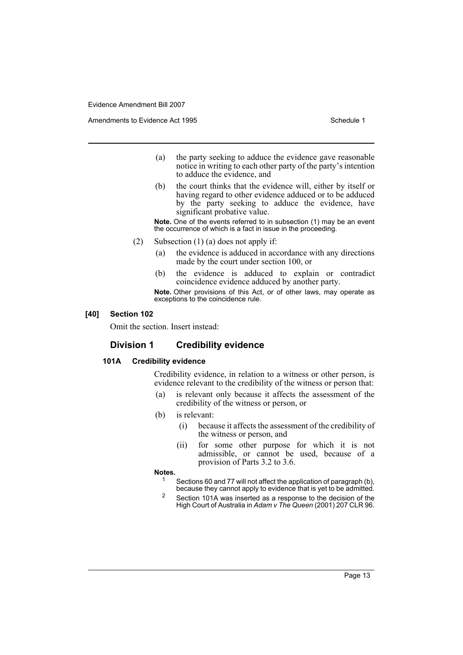Amendments to Evidence Act 1995 Schedule 1

- (a) the party seeking to adduce the evidence gave reasonable notice in writing to each other party of the party's intention to adduce the evidence, and
- (b) the court thinks that the evidence will, either by itself or having regard to other evidence adduced or to be adduced by the party seeking to adduce the evidence, have significant probative value.

**Note.** One of the events referred to in subsection (1) may be an event the occurrence of which is a fact in issue in the proceeding.

- (2) Subsection (1) (a) does not apply if:
	- (a) the evidence is adduced in accordance with any directions made by the court under section 100, or
	- (b) the evidence is adduced to explain or contradict coincidence evidence adduced by another party.

**Note.** Other provisions of this Act, or of other laws, may operate as exceptions to the coincidence rule.

#### **[40] Section 102**

Omit the section. Insert instead:

# **Division 1 Credibility evidence**

## **101A Credibility evidence**

Credibility evidence, in relation to a witness or other person, is evidence relevant to the credibility of the witness or person that:

- (a) is relevant only because it affects the assessment of the credibility of the witness or person, or
- (b) is relevant:
	- (i) because it affects the assessment of the credibility of the witness or person, and
	- (ii) for some other purpose for which it is not admissible, or cannot be used, because of a provision of Parts 3.2 to 3.6.

## **Notes.**

- <sup>1</sup> Sections 60 and 77 will not affect the application of paragraph (b), because they cannot apply to evidence that is yet to be admitted.
- <sup>2</sup> Section 101A was inserted as a response to the decision of the High Court of Australia in *Adam v The Queen* (2001) 207 CLR 96.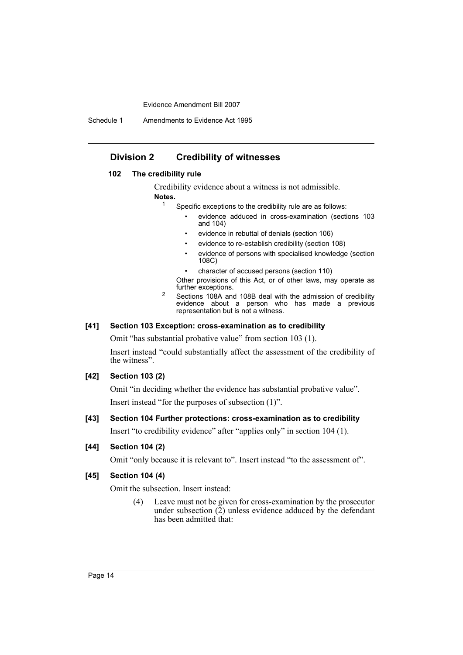Schedule 1 Amendments to Evidence Act 1995

# **Division 2 Credibility of witnesses**

# **102 The credibility rule**

Credibility evidence about a witness is not admissible.

#### **Notes.**

- <sup>1</sup> Specific exceptions to the credibility rule are as follows:
	- evidence adduced in cross-examination (sections 103 and 104)
	- evidence in rebuttal of denials (section 106)
	- evidence to re-establish credibility (section 108)
	- evidence of persons with specialised knowledge (section 108C)
	- character of accused persons (section 110)

Other provisions of this Act, or of other laws, may operate as further exceptions.

<sup>2</sup> Sections 108A and 108B deal with the admission of credibility evidence about a person who has made a previous representation but is not a witness.

## **[41] Section 103 Exception: cross-examination as to credibility**

Omit "has substantial probative value" from section 103 (1).

Insert instead "could substantially affect the assessment of the credibility of the witness".

#### **[42] Section 103 (2)**

Omit "in deciding whether the evidence has substantial probative value". Insert instead "for the purposes of subsection (1)".

# **[43] Section 104 Further protections: cross-examination as to credibility**

Insert "to credibility evidence" after "applies only" in section 104 (1).

# **[44] Section 104 (2)**

Omit "only because it is relevant to". Insert instead "to the assessment of".

# **[45] Section 104 (4)**

Omit the subsection. Insert instead:

(4) Leave must not be given for cross-examination by the prosecutor under subsection  $(\overline{2})$  unless evidence adduced by the defendant has been admitted that: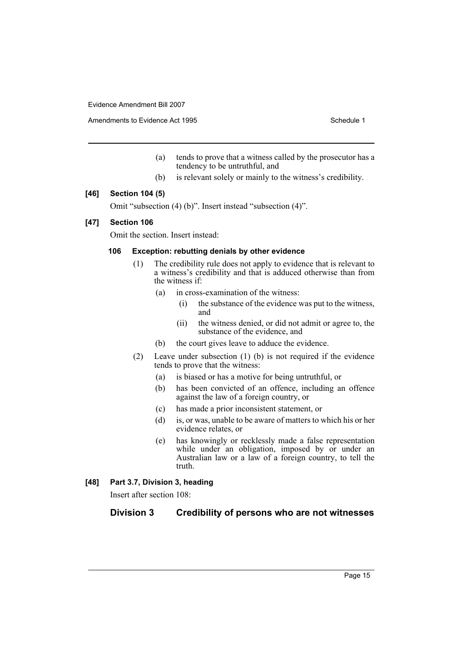Amendments to Evidence Act 1995 Schedule 1

- (a) tends to prove that a witness called by the prosecutor has a tendency to be untruthful, and
- (b) is relevant solely or mainly to the witness's credibility.

## **[46] Section 104 (5)**

Omit "subsection (4) (b)". Insert instead "subsection (4)".

## **[47] Section 106**

Omit the section. Insert instead:

# **106 Exception: rebutting denials by other evidence**

- (1) The credibility rule does not apply to evidence that is relevant to a witness's credibility and that is adduced otherwise than from the witness if:
	- (a) in cross-examination of the witness:
		- (i) the substance of the evidence was put to the witness, and
		- (ii) the witness denied, or did not admit or agree to, the substance of the evidence, and
	- (b) the court gives leave to adduce the evidence.
- (2) Leave under subsection (1) (b) is not required if the evidence tends to prove that the witness:
	- (a) is biased or has a motive for being untruthful, or
	- (b) has been convicted of an offence, including an offence against the law of a foreign country, or
	- (c) has made a prior inconsistent statement, or
	- (d) is, or was, unable to be aware of matters to which his or her evidence relates, or
	- (e) has knowingly or recklessly made a false representation while under an obligation, imposed by or under an Australian law or a law of a foreign country, to tell the truth.

# **[48] Part 3.7, Division 3, heading**

Insert after section 108:

# **Division 3 Credibility of persons who are not witnesses**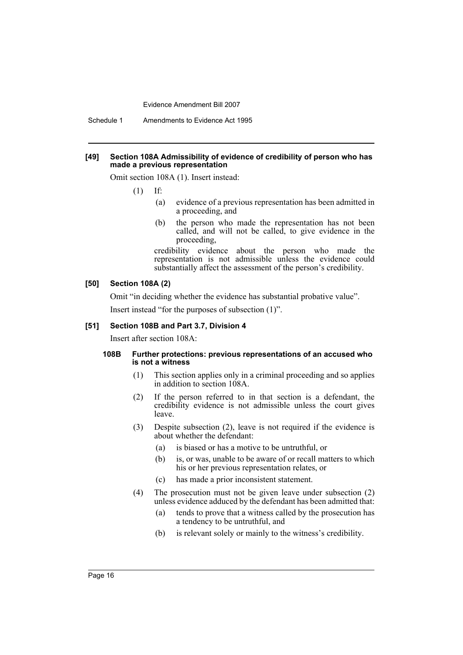Schedule 1 Amendments to Evidence Act 1995

#### **[49] Section 108A Admissibility of evidence of credibility of person who has made a previous representation**

Omit section 108A (1). Insert instead:

- (1) If:
	- (a) evidence of a previous representation has been admitted in a proceeding, and
	- (b) the person who made the representation has not been called, and will not be called, to give evidence in the proceeding,

credibility evidence about the person who made the representation is not admissible unless the evidence could substantially affect the assessment of the person's credibility.

#### **[50] Section 108A (2)**

Omit "in deciding whether the evidence has substantial probative value".

Insert instead "for the purposes of subsection (1)".

#### **[51] Section 108B and Part 3.7, Division 4**

Insert after section 108A:

## **108B Further protections: previous representations of an accused who is not a witness**

- (1) This section applies only in a criminal proceeding and so applies in addition to section 108A.
- (2) If the person referred to in that section is a defendant, the credibility evidence is not admissible unless the court gives leave.
- (3) Despite subsection (2), leave is not required if the evidence is about whether the defendant:
	- (a) is biased or has a motive to be untruthful, or
	- (b) is, or was, unable to be aware of or recall matters to which his or her previous representation relates, or
	- (c) has made a prior inconsistent statement.
- (4) The prosecution must not be given leave under subsection (2) unless evidence adduced by the defendant has been admitted that:
	- (a) tends to prove that a witness called by the prosecution has a tendency to be untruthful, and
	- (b) is relevant solely or mainly to the witness's credibility.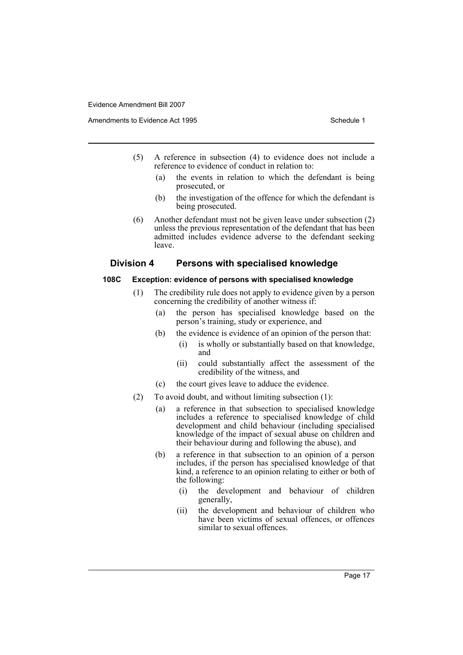- (5) A reference in subsection (4) to evidence does not include a reference to evidence of conduct in relation to:
	- (a) the events in relation to which the defendant is being prosecuted, or
	- (b) the investigation of the offence for which the defendant is being prosecuted.
- (6) Another defendant must not be given leave under subsection (2) unless the previous representation of the defendant that has been admitted includes evidence adverse to the defendant seeking leave.

# **Division 4 Persons with specialised knowledge**

#### **108C Exception: evidence of persons with specialised knowledge**

- (1) The credibility rule does not apply to evidence given by a person concerning the credibility of another witness if:
	- (a) the person has specialised knowledge based on the person's training, study or experience, and
	- (b) the evidence is evidence of an opinion of the person that:
		- (i) is wholly or substantially based on that knowledge, and
		- (ii) could substantially affect the assessment of the credibility of the witness, and
	- (c) the court gives leave to adduce the evidence.
- (2) To avoid doubt, and without limiting subsection (1):
	- (a) a reference in that subsection to specialised knowledge includes a reference to specialised knowledge of child development and child behaviour (including specialised knowledge of the impact of sexual abuse on children and their behaviour during and following the abuse), and
	- (b) a reference in that subsection to an opinion of a person includes, if the person has specialised knowledge of that kind, a reference to an opinion relating to either or both of the following:
		- (i) the development and behaviour of children generally,
		- (ii) the development and behaviour of children who have been victims of sexual offences, or offences similar to sexual offences.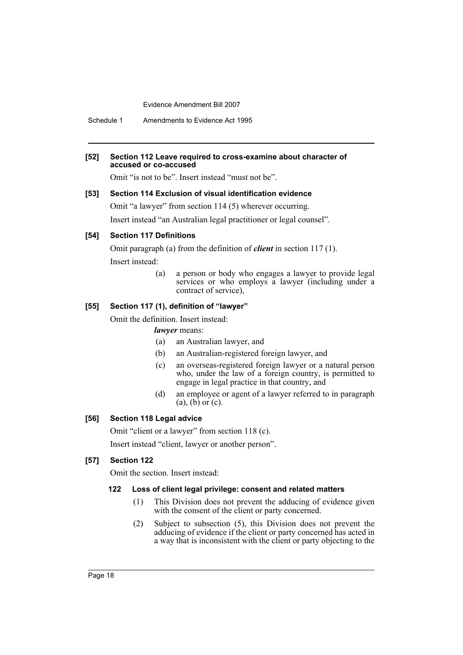Schedule 1 Amendments to Evidence Act 1995

#### **[52] Section 112 Leave required to cross-examine about character of accused or co-accused**

Omit "is not to be". Insert instead "must not be".

# **[53] Section 114 Exclusion of visual identification evidence**

Omit "a lawyer" from section 114 (5) wherever occurring. Insert instead "an Australian legal practitioner or legal counsel".

## **[54] Section 117 Definitions**

Omit paragraph (a) from the definition of *client* in section 117 (1). Insert instead:

> (a) a person or body who engages a lawyer to provide legal services or who employs a lawyer (including under a contract of service),

# **[55] Section 117 (1), definition of "lawyer"**

Omit the definition. Insert instead:

*lawyer* means:

- (a) an Australian lawyer, and
- (b) an Australian-registered foreign lawyer, and
- (c) an overseas-registered foreign lawyer or a natural person who, under the law of a foreign country, is permitted to engage in legal practice in that country, and
- (d) an employee or agent of a lawyer referred to in paragraph  $(a)$ ,  $(b)$  or  $(c)$ .

# **[56] Section 118 Legal advice**

Omit "client or a lawyer" from section 118 (c).

Insert instead "client, lawyer or another person".

#### **[57] Section 122**

Omit the section. Insert instead:

# **122 Loss of client legal privilege: consent and related matters**

- (1) This Division does not prevent the adducing of evidence given with the consent of the client or party concerned.
- (2) Subject to subsection (5), this Division does not prevent the adducing of evidence if the client or party concerned has acted in a way that is inconsistent with the client or party objecting to the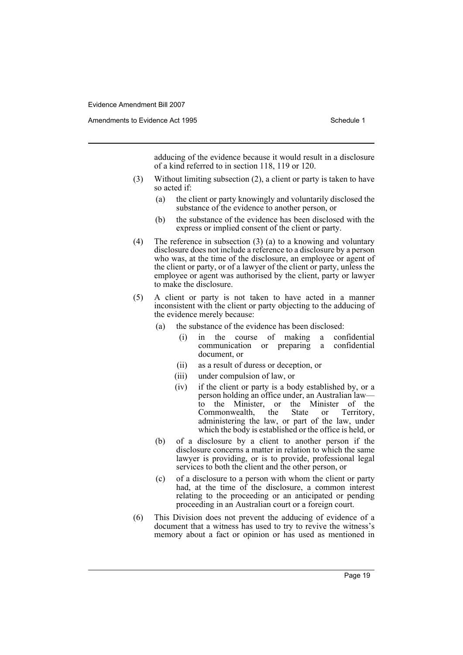adducing of the evidence because it would result in a disclosure of a kind referred to in section 118, 119 or 120.

- (3) Without limiting subsection (2), a client or party is taken to have so acted if:
	- (a) the client or party knowingly and voluntarily disclosed the substance of the evidence to another person, or
	- (b) the substance of the evidence has been disclosed with the express or implied consent of the client or party.
- (4) The reference in subsection (3) (a) to a knowing and voluntary disclosure does not include a reference to a disclosure by a person who was, at the time of the disclosure, an employee or agent of the client or party, or of a lawyer of the client or party, unless the employee or agent was authorised by the client, party or lawyer to make the disclosure.
- (5) A client or party is not taken to have acted in a manner inconsistent with the client or party objecting to the adducing of the evidence merely because:
	- (a) the substance of the evidence has been disclosed:
		- (i) in the course of making a confidential communication or preparing a document, or
		- (ii) as a result of duress or deception, or
		- (iii) under compulsion of law, or
		- (iv) if the client or party is a body established by, or a person holding an office under, an Australian law to the Minister, or the Minister of the Commonwealth, the State or Territory, Commonwealth, the State or administering the law, or part of the law, under which the body is established or the office is held, or
	- (b) of a disclosure by a client to another person if the disclosure concerns a matter in relation to which the same lawyer is providing, or is to provide, professional legal services to both the client and the other person, or
	- (c) of a disclosure to a person with whom the client or party had, at the time of the disclosure, a common interest relating to the proceeding or an anticipated or pending proceeding in an Australian court or a foreign court.
- (6) This Division does not prevent the adducing of evidence of a document that a witness has used to try to revive the witness's memory about a fact or opinion or has used as mentioned in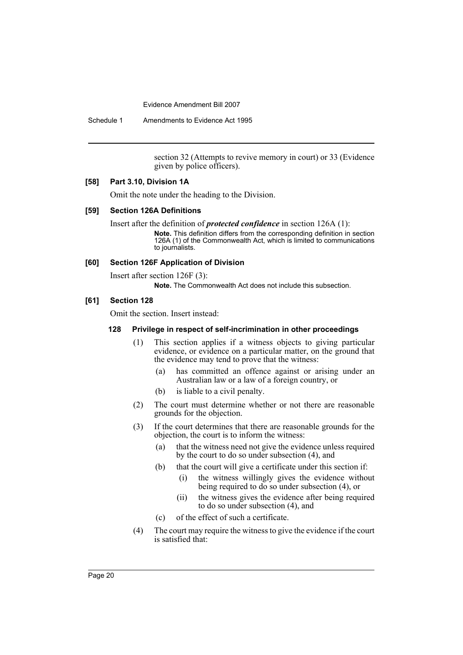Schedule 1 Amendments to Evidence Act 1995

section 32 (Attempts to revive memory in court) or 33 (Evidence given by police officers).

# **[58] Part 3.10, Division 1A**

Omit the note under the heading to the Division.

#### **[59] Section 126A Definitions**

Insert after the definition of *protected confidence* in section 126A (1):

**Note.** This definition differs from the corresponding definition in section 126A (1) of the Commonwealth Act, which is limited to communications to journalists.

## **[60] Section 126F Application of Division**

Insert after section 126F (3):

**Note.** The Commonwealth Act does not include this subsection.

## **[61] Section 128**

Omit the section. Insert instead:

#### **128 Privilege in respect of self-incrimination in other proceedings**

- (1) This section applies if a witness objects to giving particular evidence, or evidence on a particular matter, on the ground that the evidence may tend to prove that the witness:
	- (a) has committed an offence against or arising under an Australian law or a law of a foreign country, or
	- (b) is liable to a civil penalty.
- (2) The court must determine whether or not there are reasonable grounds for the objection.
- (3) If the court determines that there are reasonable grounds for the objection, the court is to inform the witness:
	- (a) that the witness need not give the evidence unless required by the court to do so under subsection (4), and
	- (b) that the court will give a certificate under this section if:
		- (i) the witness willingly gives the evidence without being required to do so under subsection (4), or
		- (ii) the witness gives the evidence after being required to do so under subsection (4), and
	- (c) of the effect of such a certificate.
- (4) The court may require the witness to give the evidence if the court is satisfied that: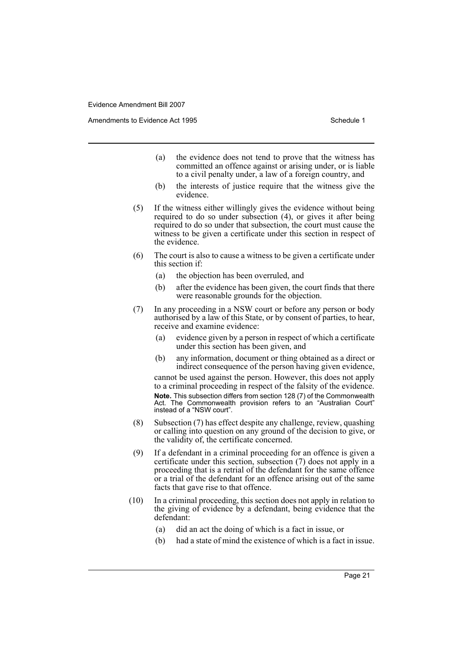Amendments to Evidence Act 1995 Schedule 1

- (a) the evidence does not tend to prove that the witness has committed an offence against or arising under, or is liable to a civil penalty under, a law of a foreign country, and
- (b) the interests of justice require that the witness give the evidence.
- (5) If the witness either willingly gives the evidence without being required to do so under subsection (4), or gives it after being required to do so under that subsection, the court must cause the witness to be given a certificate under this section in respect of the evidence.
- (6) The court is also to cause a witness to be given a certificate under this section if:
	- (a) the objection has been overruled, and
	- (b) after the evidence has been given, the court finds that there were reasonable grounds for the objection.
- (7) In any proceeding in a NSW court or before any person or body authorised by a law of this State, or by consent of parties, to hear, receive and examine evidence:
	- (a) evidence given by a person in respect of which a certificate under this section has been given, and
	- (b) any information, document or thing obtained as a direct or indirect consequence of the person having given evidence,

cannot be used against the person. However, this does not apply to a criminal proceeding in respect of the falsity of the evidence. **Note.** This subsection differs from section 128 (7) of the Commonwealth Act. The Commonwealth provision refers to an "Australian Court" instead of a "NSW court".

- (8) Subsection (7) has effect despite any challenge, review, quashing or calling into question on any ground of the decision to give, or the validity of, the certificate concerned.
- (9) If a defendant in a criminal proceeding for an offence is given a certificate under this section, subsection (7) does not apply in a proceeding that is a retrial of the defendant for the same offence or a trial of the defendant for an offence arising out of the same facts that gave rise to that offence.
- (10) In a criminal proceeding, this section does not apply in relation to the giving of evidence by a defendant, being evidence that the defendant:
	- (a) did an act the doing of which is a fact in issue, or
	- (b) had a state of mind the existence of which is a fact in issue.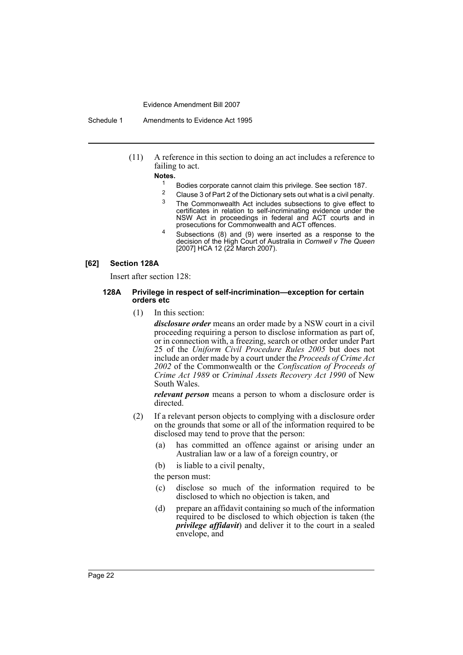Schedule 1 Amendments to Evidence Act 1995

(11) A reference in this section to doing an act includes a reference to failing to act.

# **Notes.**

- <sup>1</sup> Bodies corporate cannot claim this privilege. See section 187.
- <sup>2</sup> Clause 3 of Part 2 of the Dictionary sets out what is a civil penalty.<br><sup>3</sup> The Commonwealth Ast includes authorations to give effect to
- The Commonwealth Act includes subsections to give effect to certificates in relation to self-incriminating evidence under the NSW Act in proceedings in federal and ACT courts and in prosecutions for Commonwealth and ACT offences.
- <sup>4</sup> Subsections (8) and (9) were inserted as a response to the decision of the High Court of Australia in *Cornwell v The Queen* [2007] HCA 12 (22 March 2007).

#### **[62] Section 128A**

Insert after section 128:

#### **128A Privilege in respect of self-incrimination—exception for certain orders etc**

(1) In this section:

*disclosure order* means an order made by a NSW court in a civil proceeding requiring a person to disclose information as part of, or in connection with, a freezing, search or other order under Part 25 of the *Uniform Civil Procedure Rules 2005* but does not include an order made by a court under the *Proceeds of Crime Act 2002* of the Commonwealth or the *Confiscation of Proceeds of Crime Act 1989* or *Criminal Assets Recovery Act 1990* of New South Wales.

*relevant person* means a person to whom a disclosure order is directed.

- (2) If a relevant person objects to complying with a disclosure order on the grounds that some or all of the information required to be disclosed may tend to prove that the person:
	- (a) has committed an offence against or arising under an Australian law or a law of a foreign country, or
	- (b) is liable to a civil penalty,

the person must:

- (c) disclose so much of the information required to be disclosed to which no objection is taken, and
- (d) prepare an affidavit containing so much of the information required to be disclosed to which objection is taken (the *privilege affidavit*) and deliver it to the court in a sealed envelope, and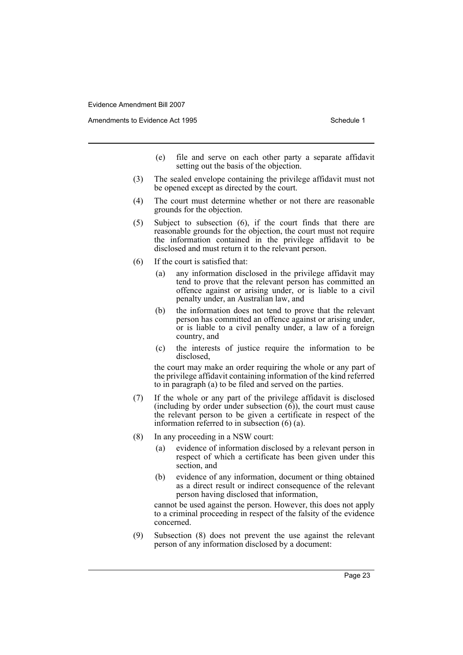Amendments to Evidence Act 1995 Schedule 1

- (e) file and serve on each other party a separate affidavit setting out the basis of the objection.
- (3) The sealed envelope containing the privilege affidavit must not be opened except as directed by the court.
- (4) The court must determine whether or not there are reasonable grounds for the objection.
- (5) Subject to subsection (6), if the court finds that there are reasonable grounds for the objection, the court must not require the information contained in the privilege affidavit to be disclosed and must return it to the relevant person.
- (6) If the court is satisfied that:
	- (a) any information disclosed in the privilege affidavit may tend to prove that the relevant person has committed an offence against or arising under, or is liable to a civil penalty under, an Australian law, and
	- (b) the information does not tend to prove that the relevant person has committed an offence against or arising under, or is liable to a civil penalty under, a law of a foreign country, and
	- (c) the interests of justice require the information to be disclosed,

the court may make an order requiring the whole or any part of the privilege affidavit containing information of the kind referred to in paragraph (a) to be filed and served on the parties.

- (7) If the whole or any part of the privilege affidavit is disclosed (including by order under subsection  $(6)$ ), the court must cause the relevant person to be given a certificate in respect of the information referred to in subsection (6) (a).
- (8) In any proceeding in a NSW court:
	- (a) evidence of information disclosed by a relevant person in respect of which a certificate has been given under this section, and
	- (b) evidence of any information, document or thing obtained as a direct result or indirect consequence of the relevant person having disclosed that information,

cannot be used against the person. However, this does not apply to a criminal proceeding in respect of the falsity of the evidence concerned.

(9) Subsection (8) does not prevent the use against the relevant person of any information disclosed by a document: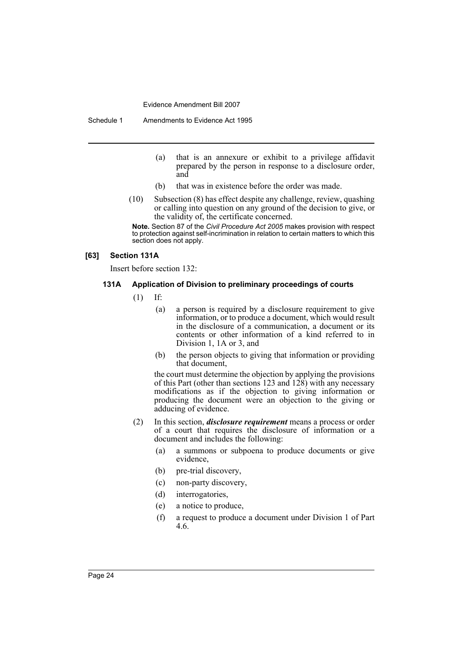Schedule 1 Amendments to Evidence Act 1995

- (a) that is an annexure or exhibit to a privilege affidavit prepared by the person in response to a disclosure order, and
- (b) that was in existence before the order was made.
- (10) Subsection (8) has effect despite any challenge, review, quashing or calling into question on any ground of the decision to give, or the validity of, the certificate concerned.

**Note.** Section 87 of the *Civil Procedure Act 2005* makes provision with respect to protection against self-incrimination in relation to certain matters to which this section does not apply.

## **[63] Section 131A**

Insert before section 132:

## **131A Application of Division to preliminary proceedings of courts**

- (1) If:
	- (a) a person is required by a disclosure requirement to give information, or to produce a document, which would result in the disclosure of a communication, a document or its contents or other information of a kind referred to in Division 1, 1A or 3, and
	- (b) the person objects to giving that information or providing that document,

the court must determine the objection by applying the provisions of this Part (other than sections 123 and 128) with any necessary modifications as if the objection to giving information or producing the document were an objection to the giving or adducing of evidence.

- (2) In this section, *disclosure requirement* means a process or order of a court that requires the disclosure of information or a document and includes the following:
	- (a) a summons or subpoena to produce documents or give evidence,
	- (b) pre-trial discovery,
	- (c) non-party discovery,
	- (d) interrogatories,
	- (e) a notice to produce,
	- (f) a request to produce a document under Division 1 of Part 4.6.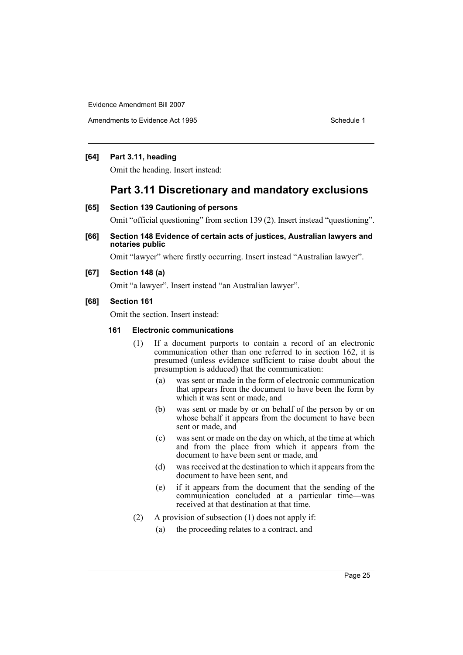Amendments to Evidence Act 1995 Schedule 1

# **[64] Part 3.11, heading**

Omit the heading. Insert instead:

# **Part 3.11 Discretionary and mandatory exclusions**

## **[65] Section 139 Cautioning of persons**

Omit "official questioning" from section 139 (2). Insert instead "questioning".

**[66] Section 148 Evidence of certain acts of justices, Australian lawyers and notaries public** 

Omit "lawyer" where firstly occurring. Insert instead "Australian lawyer".

**[67] Section 148 (a)**

Omit "a lawyer". Insert instead "an Australian lawyer".

# **[68] Section 161**

Omit the section. Insert instead:

## **161 Electronic communications**

- (1) If a document purports to contain a record of an electronic communication other than one referred to in section 162, it is presumed (unless evidence sufficient to raise doubt about the presumption is adduced) that the communication:
	- (a) was sent or made in the form of electronic communication that appears from the document to have been the form by which it was sent or made, and
	- (b) was sent or made by or on behalf of the person by or on whose behalf it appears from the document to have been sent or made, and
	- (c) was sent or made on the day on which, at the time at which and from the place from which it appears from the document to have been sent or made, and
	- (d) was received at the destination to which it appears from the document to have been sent, and
	- (e) if it appears from the document that the sending of the communication concluded at a particular time—was received at that destination at that time.
- (2) A provision of subsection (1) does not apply if:
	- (a) the proceeding relates to a contract, and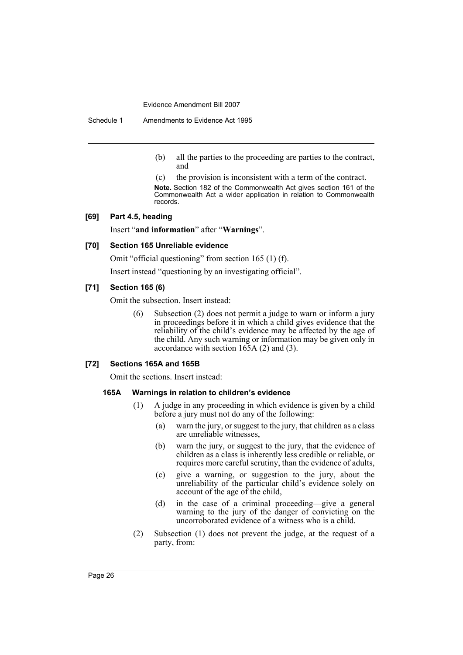Schedule 1 Amendments to Evidence Act 1995

- (b) all the parties to the proceeding are parties to the contract, and
- (c) the provision is inconsistent with a term of the contract.

**Note.** Section 182 of the Commonwealth Act gives section 161 of the Commonwealth Act a wider application in relation to Commonwealth records.

#### **[69] Part 4.5, heading**

Insert "**and information**" after "**Warnings**".

## **[70] Section 165 Unreliable evidence**

Omit "official questioning" from section 165 (1) (f).

Insert instead "questioning by an investigating official".

# **[71] Section 165 (6)**

Omit the subsection. Insert instead:

(6) Subsection (2) does not permit a judge to warn or inform a jury in proceedings before it in which a child gives evidence that the reliability of the child's evidence may be affected by the age of the child. Any such warning or information may be given only in accordance with section 165A (2) and (3).

## **[72] Sections 165A and 165B**

Omit the sections. Insert instead:

#### **165A Warnings in relation to children's evidence**

- (1) A judge in any proceeding in which evidence is given by a child before a jury must not do any of the following:
	- (a) warn the jury, or suggest to the jury, that children as a class are unreliable witnesses,
	- (b) warn the jury, or suggest to the jury, that the evidence of children as a class is inherently less credible or reliable, or requires more careful scrutiny, than the evidence of adults,
	- (c) give a warning, or suggestion to the jury, about the unreliability of the particular child's evidence solely on account of the age of the child,
	- (d) in the case of a criminal proceeding—give a general warning to the jury of the danger of convicting on the uncorroborated evidence of a witness who is a child.
- (2) Subsection (1) does not prevent the judge, at the request of a party, from: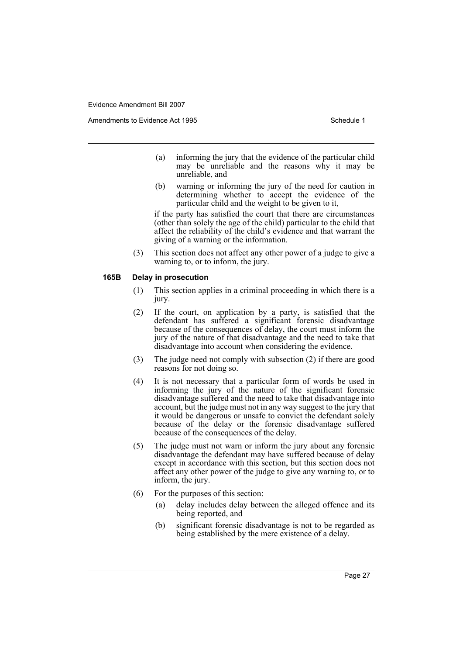- (a) informing the jury that the evidence of the particular child may be unreliable and the reasons why it may be unreliable, and
- (b) warning or informing the jury of the need for caution in determining whether to accept the evidence of the particular child and the weight to be given to it,

if the party has satisfied the court that there are circumstances (other than solely the age of the child) particular to the child that affect the reliability of the child's evidence and that warrant the giving of a warning or the information.

(3) This section does not affect any other power of a judge to give a warning to, or to inform, the jury.

#### **165B Delay in prosecution**

- (1) This section applies in a criminal proceeding in which there is a jury.
- (2) If the court, on application by a party, is satisfied that the defendant has suffered a significant forensic disadvantage because of the consequences of delay, the court must inform the jury of the nature of that disadvantage and the need to take that disadvantage into account when considering the evidence.
- (3) The judge need not comply with subsection (2) if there are good reasons for not doing so.
- (4) It is not necessary that a particular form of words be used in informing the jury of the nature of the significant forensic disadvantage suffered and the need to take that disadvantage into account, but the judge must not in any way suggest to the jury that it would be dangerous or unsafe to convict the defendant solely because of the delay or the forensic disadvantage suffered because of the consequences of the delay.
- (5) The judge must not warn or inform the jury about any forensic disadvantage the defendant may have suffered because of delay except in accordance with this section, but this section does not affect any other power of the judge to give any warning to, or to inform, the jury.
- (6) For the purposes of this section:
	- (a) delay includes delay between the alleged offence and its being reported, and
	- (b) significant forensic disadvantage is not to be regarded as being established by the mere existence of a delay.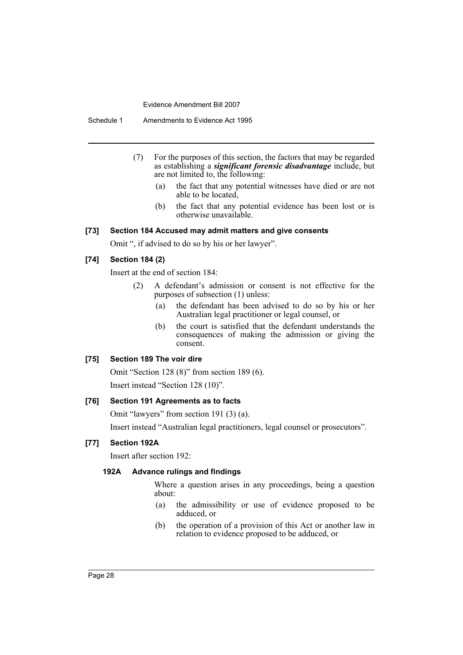Schedule 1 Amendments to Evidence Act 1995

- (7) For the purposes of this section, the factors that may be regarded as establishing a *significant forensic disadvantage* include, but are not limited to, the following:
	- (a) the fact that any potential witnesses have died or are not able to be located,
	- (b) the fact that any potential evidence has been lost or is otherwise unavailable.

## **[73] Section 184 Accused may admit matters and give consents**

Omit ", if advised to do so by his or her lawyer".

## **[74] Section 184 (2)**

Insert at the end of section 184:

- (2) A defendant's admission or consent is not effective for the purposes of subsection (1) unless:
	- (a) the defendant has been advised to do so by his or her Australian legal practitioner or legal counsel, or
	- (b) the court is satisfied that the defendant understands the consequences of making the admission or giving the consent.

# **[75] Section 189 The voir dire**

Omit "Section 128 (8)" from section 189 (6). Insert instead "Section 128 (10)".

# **[76] Section 191 Agreements as to facts**

Omit "lawyers" from section 191 (3) (a).

Insert instead "Australian legal practitioners, legal counsel or prosecutors".

## **[77] Section 192A**

Insert after section 192:

# **192A Advance rulings and findings**

Where a question arises in any proceedings, being a question about:

- (a) the admissibility or use of evidence proposed to be adduced, or
- (b) the operation of a provision of this Act or another law in relation to evidence proposed to be adduced, or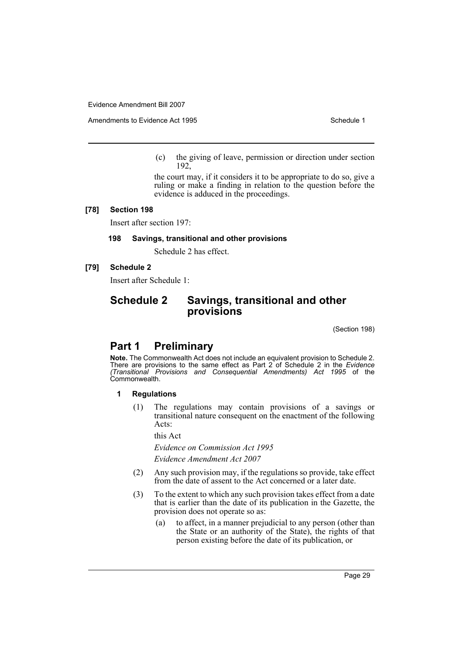Amendments to Evidence Act 1995 Schedule 1

(c) the giving of leave, permission or direction under section 192,

the court may, if it considers it to be appropriate to do so, give a ruling or make a finding in relation to the question before the evidence is adduced in the proceedings.

#### **[78] Section 198**

Insert after section 197:

## **198 Savings, transitional and other provisions**

Schedule 2 has effect.

## **[79] Schedule 2**

Insert after Schedule 1:

# **Schedule 2 Savings, transitional and other provisions**

(Section 198)

# **Part 1 Preliminary**

**Note.** The Commonwealth Act does not include an equivalent provision to Schedule 2. There are provisions to the same effect as Part 2 of Schedule 2 in the *Evidence (Transitional Provisions and Consequential Amendments) Act 1995* of the Commonwealth.

#### **1 Regulations**

(1) The regulations may contain provisions of a savings or transitional nature consequent on the enactment of the following Acts:

this Act

*Evidence on Commission Act 1995*

*Evidence Amendment Act 2007*

- (2) Any such provision may, if the regulations so provide, take effect from the date of assent to the Act concerned or a later date.
- (3) To the extent to which any such provision takes effect from a date that is earlier than the date of its publication in the Gazette, the provision does not operate so as:
	- (a) to affect, in a manner prejudicial to any person (other than the State or an authority of the State), the rights of that person existing before the date of its publication, or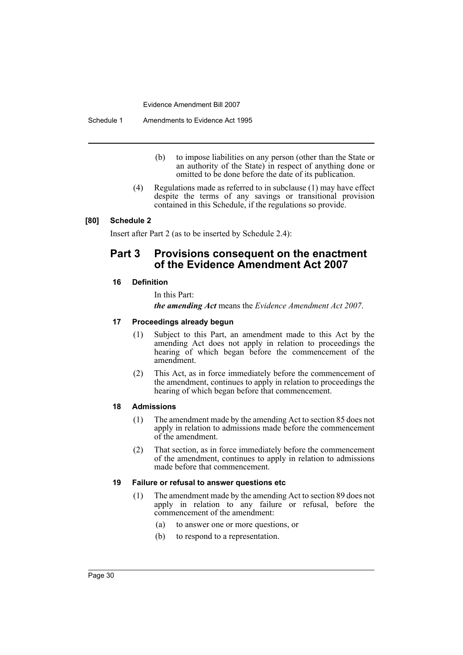Schedule 1 Amendments to Evidence Act 1995

- (b) to impose liabilities on any person (other than the State or an authority of the State) in respect of anything done or omitted to be done before the date of its publication.
- (4) Regulations made as referred to in subclause (1) may have effect despite the terms of any savings or transitional provision contained in this Schedule, if the regulations so provide.

# **[80] Schedule 2**

Insert after Part 2 (as to be inserted by Schedule 2.4):

# **Part 3 Provisions consequent on the enactment of the Evidence Amendment Act 2007**

## **16 Definition**

In this Part:

*the amending Act* means the *Evidence Amendment Act 2007*.

#### **17 Proceedings already begun**

- (1) Subject to this Part, an amendment made to this Act by the amending Act does not apply in relation to proceedings the hearing of which began before the commencement of the amendment.
- (2) This Act, as in force immediately before the commencement of the amendment, continues to apply in relation to proceedings the hearing of which began before that commencement.

#### **18 Admissions**

- (1) The amendment made by the amending Act to section 85 does not apply in relation to admissions made before the commencement of the amendment.
- (2) That section, as in force immediately before the commencement of the amendment, continues to apply in relation to admissions made before that commencement.

#### **19 Failure or refusal to answer questions etc**

- (1) The amendment made by the amending Act to section 89 does not apply in relation to any failure or refusal, before the commencement of the amendment:
	- (a) to answer one or more questions, or
	- (b) to respond to a representation.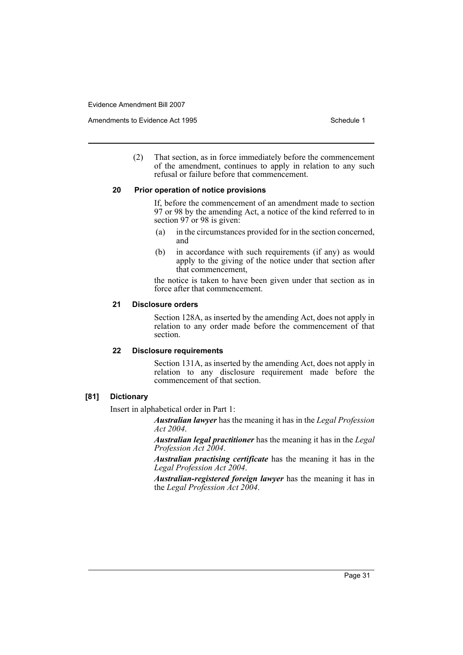Amendments to Evidence Act 1995 Schedule 1

(2) That section, as in force immediately before the commencement of the amendment, continues to apply in relation to any such refusal or failure before that commencement.

# **20 Prior operation of notice provisions**

If, before the commencement of an amendment made to section 97 or 98 by the amending Act, a notice of the kind referred to in section 97 or 98 is given:

- (a) in the circumstances provided for in the section concerned, and
- (b) in accordance with such requirements (if any) as would apply to the giving of the notice under that section after that commencement,

the notice is taken to have been given under that section as in force after that commencement.

# **21 Disclosure orders**

Section 128A, as inserted by the amending Act, does not apply in relation to any order made before the commencement of that section.

#### **22 Disclosure requirements**

Section 131A, as inserted by the amending Act, does not apply in relation to any disclosure requirement made before the commencement of that section.

# **[81] Dictionary**

Insert in alphabetical order in Part 1:

*Australian lawyer* has the meaning it has in the *Legal Profession Act 2004*.

*Australian legal practitioner* has the meaning it has in the *Legal Profession Act 2004*.

*Australian practising certificate* has the meaning it has in the *Legal Profession Act 2004*.

*Australian-registered foreign lawyer* has the meaning it has in the *Legal Profession Act 2004*.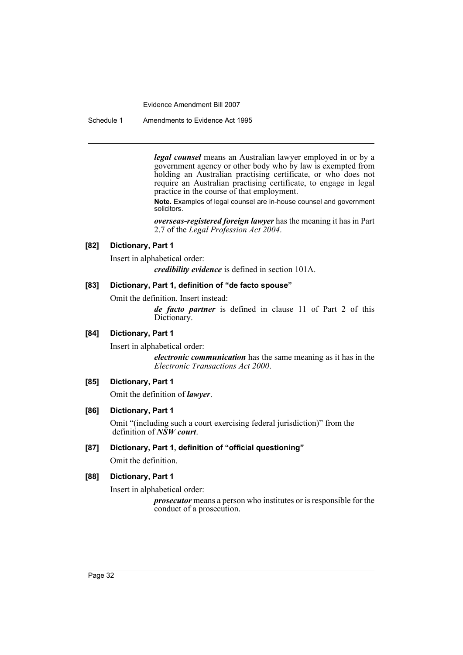Schedule 1 Amendments to Evidence Act 1995

*legal counsel* means an Australian lawyer employed in or by a government agency or other body who by law is exempted from holding an Australian practising certificate, or who does not require an Australian practising certificate, to engage in legal practice in the course of that employment.

**Note.** Examples of legal counsel are in-house counsel and government solicitors.

*overseas-registered foreign lawyer* has the meaning it has in Part 2.7 of the *Legal Profession Act 2004*.

## **[82] Dictionary, Part 1**

Insert in alphabetical order:

*credibility evidence* is defined in section 101A.

## **[83] Dictionary, Part 1, definition of "de facto spouse"**

Omit the definition. Insert instead:

*de facto partner* is defined in clause 11 of Part 2 of this Dictionary.

# **[84] Dictionary, Part 1**

Insert in alphabetical order:

*electronic communication* has the same meaning as it has in the *Electronic Transactions Act 2000*.

# **[85] Dictionary, Part 1**

Omit the definition of *lawyer*.

## **[86] Dictionary, Part 1**

Omit "(including such a court exercising federal jurisdiction)" from the definition of *NSW court*.

# **[87] Dictionary, Part 1, definition of "official questioning"**

Omit the definition.

# **[88] Dictionary, Part 1**

Insert in alphabetical order:

*prosecutor* means a person who institutes or is responsible for the conduct of a prosecution.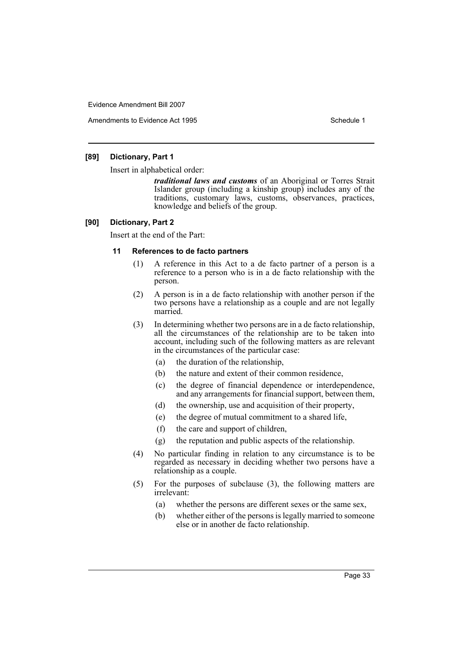Amendments to Evidence Act 1995 Schedule 1

# **[89] Dictionary, Part 1**

Insert in alphabetical order:

*traditional laws and customs* of an Aboriginal or Torres Strait Islander group (including a kinship group) includes any of the traditions, customary laws, customs, observances, practices, knowledge and beliefs of the group.

## **[90] Dictionary, Part 2**

Insert at the end of the Part:

## **11 References to de facto partners**

- (1) A reference in this Act to a de facto partner of a person is a reference to a person who is in a de facto relationship with the person.
- (2) A person is in a de facto relationship with another person if the two persons have a relationship as a couple and are not legally married.
- (3) In determining whether two persons are in a de facto relationship, all the circumstances of the relationship are to be taken into account, including such of the following matters as are relevant in the circumstances of the particular case:
	- (a) the duration of the relationship,
	- (b) the nature and extent of their common residence,
	- (c) the degree of financial dependence or interdependence, and any arrangements for financial support, between them,
	- (d) the ownership, use and acquisition of their property,
	- (e) the degree of mutual commitment to a shared life,
	- (f) the care and support of children,
	- (g) the reputation and public aspects of the relationship.
- (4) No particular finding in relation to any circumstance is to be regarded as necessary in deciding whether two persons have a relationship as a couple.
- (5) For the purposes of subclause (3), the following matters are irrelevant:
	- (a) whether the persons are different sexes or the same sex,
	- (b) whether either of the persons is legally married to someone else or in another de facto relationship.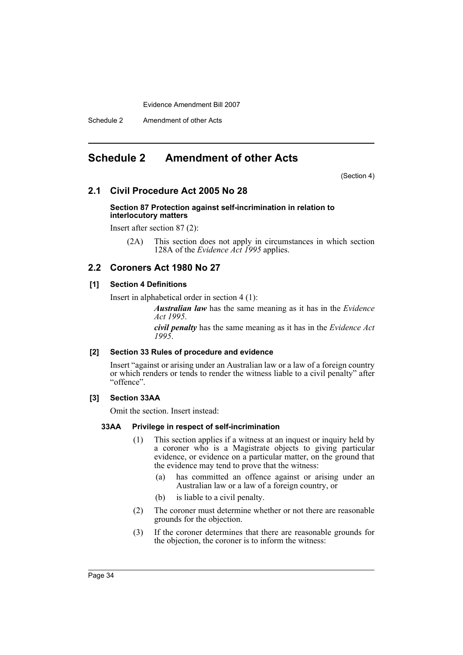Schedule 2 Amendment of other Acts

# <span id="page-34-0"></span>**Schedule 2 Amendment of other Acts**

(Section 4)

# **2.1 Civil Procedure Act 2005 No 28**

#### **Section 87 Protection against self-incrimination in relation to interlocutory matters**

Insert after section 87 (2):

(2A) This section does not apply in circumstances in which section 128A of the *Evidence Act 1995* applies.

# **2.2 Coroners Act 1980 No 27**

# **[1] Section 4 Definitions**

Insert in alphabetical order in section 4 (1):

*Australian law* has the same meaning as it has in the *Evidence Act 1995*.

*civil penalty* has the same meaning as it has in the *Evidence Act 1995*.

## **[2] Section 33 Rules of procedure and evidence**

Insert "against or arising under an Australian law or a law of a foreign country or which renders or tends to render the witness liable to a civil penalty" after "offence".

# **[3] Section 33AA**

Omit the section. Insert instead:

## **33AA Privilege in respect of self-incrimination**

- (1) This section applies if a witness at an inquest or inquiry held by a coroner who is a Magistrate objects to giving particular evidence, or evidence on a particular matter, on the ground that the evidence may tend to prove that the witness:
	- (a) has committed an offence against or arising under an Australian law or a law of a foreign country, or
	- (b) is liable to a civil penalty.
- (2) The coroner must determine whether or not there are reasonable grounds for the objection.
- (3) If the coroner determines that there are reasonable grounds for the objection, the coroner is to inform the witness: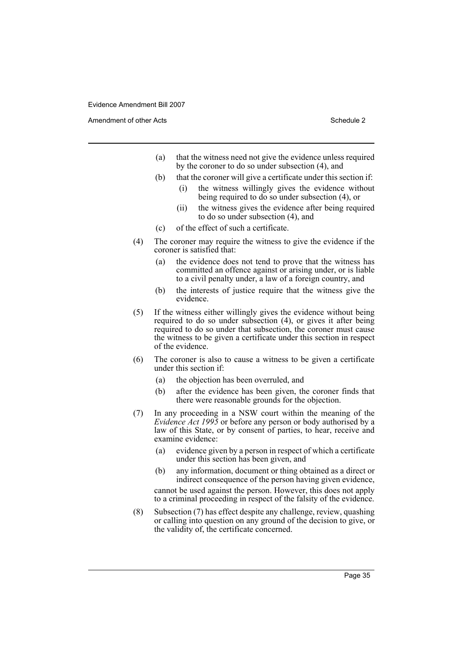Amendment of other Acts **Schedule 2** and the 2

- (a) that the witness need not give the evidence unless required by the coroner to do so under subsection (4), and
- (b) that the coroner will give a certificate under this section if:
	- (i) the witness willingly gives the evidence without being required to do so under subsection (4), or
	- (ii) the witness gives the evidence after being required to do so under subsection (4), and
- (c) of the effect of such a certificate.
- (4) The coroner may require the witness to give the evidence if the coroner is satisfied that:
	- (a) the evidence does not tend to prove that the witness has committed an offence against or arising under, or is liable to a civil penalty under, a law of a foreign country, and
	- (b) the interests of justice require that the witness give the evidence.
- (5) If the witness either willingly gives the evidence without being required to do so under subsection (4), or gives it after being required to do so under that subsection, the coroner must cause the witness to be given a certificate under this section in respect of the evidence.
- (6) The coroner is also to cause a witness to be given a certificate under this section if:
	- (a) the objection has been overruled, and
	- (b) after the evidence has been given, the coroner finds that there were reasonable grounds for the objection.
- (7) In any proceeding in a NSW court within the meaning of the *Evidence Act 1995* or before any person or body authorised by a law of this State, or by consent of parties, to hear, receive and examine evidence:
	- (a) evidence given by a person in respect of which a certificate under this section has been given, and
	- (b) any information, document or thing obtained as a direct or indirect consequence of the person having given evidence,

cannot be used against the person. However, this does not apply to a criminal proceeding in respect of the falsity of the evidence.

(8) Subsection (7) has effect despite any challenge, review, quashing or calling into question on any ground of the decision to give, or the validity of, the certificate concerned.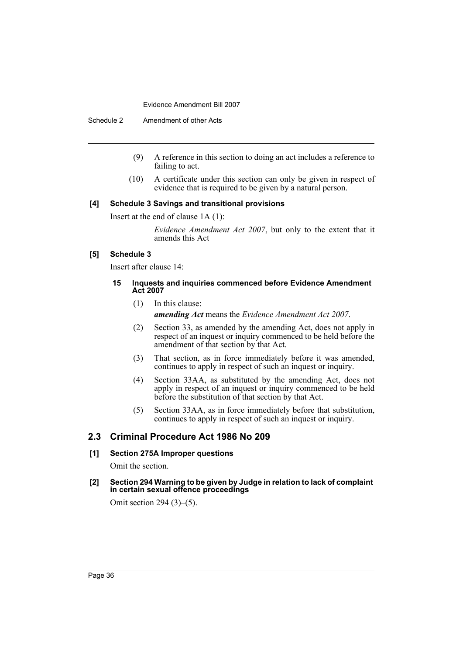Schedule 2 Amendment of other Acts

- (9) A reference in this section to doing an act includes a reference to failing to act.
- (10) A certificate under this section can only be given in respect of evidence that is required to be given by a natural person.

#### **[4] Schedule 3 Savings and transitional provisions**

Insert at the end of clause 1A (1):

*Evidence Amendment Act 2007*, but only to the extent that it amends this Act

# **[5] Schedule 3**

Insert after clause 14:

#### **15 Inquests and inquiries commenced before Evidence Amendment Act 2007**

(1) In this clause:

*amending Act* means the *Evidence Amendment Act 2007*.

- (2) Section 33, as amended by the amending Act, does not apply in respect of an inquest or inquiry commenced to be held before the amendment of that section by that Act.
- (3) That section, as in force immediately before it was amended, continues to apply in respect of such an inquest or inquiry.
- (4) Section 33AA, as substituted by the amending Act, does not apply in respect of an inquest or inquiry commenced to be held before the substitution of that section by that Act.
- (5) Section 33AA, as in force immediately before that substitution, continues to apply in respect of such an inquest or inquiry.

# **2.3 Criminal Procedure Act 1986 No 209**

#### **[1] Section 275A Improper questions**

Omit the section.

**[2] Section 294 Warning to be given by Judge in relation to lack of complaint in certain sexual offence proceedings**

Omit section 294 (3)–(5).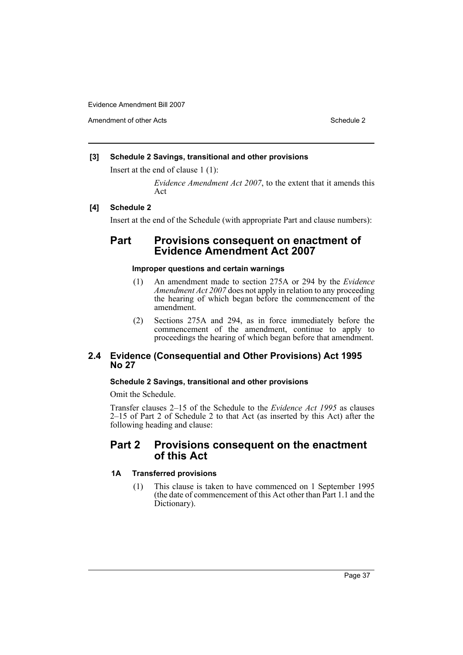Amendment of other Acts **Schedule 2** and the 2 and the 2 and 2 and 2 and 2 and 2 and 2 and 2 and 2 and 2 and 2 and 2 and 2 and 2 and 2 and 2 and 2 and 2 and 2 and 2 and 2 and 2 and 2 and 2 and 2 and 2 and 2 and 2 and 2 and

# **[3] Schedule 2 Savings, transitional and other provisions**

Insert at the end of clause 1 (1):

*Evidence Amendment Act 2007*, to the extent that it amends this Act

# **[4] Schedule 2**

Insert at the end of the Schedule (with appropriate Part and clause numbers):

# **Part Provisions consequent on enactment of Evidence Amendment Act 2007**

# **Improper questions and certain warnings**

- (1) An amendment made to section 275A or 294 by the *Evidence Amendment Act 2007* does not apply in relation to any proceeding the hearing of which began before the commencement of the amendment.
- (2) Sections 275A and 294, as in force immediately before the commencement of the amendment, continue to apply to proceedings the hearing of which began before that amendment.

# **2.4 Evidence (Consequential and Other Provisions) Act 1995 No 27**

# **Schedule 2 Savings, transitional and other provisions**

Omit the Schedule.

Transfer clauses 2–15 of the Schedule to the *Evidence Act 1995* as clauses 2–15 of Part 2 of Schedule 2 to that Act (as inserted by this Act) after the following heading and clause:

# **Part 2 Provisions consequent on the enactment of this Act**

# **1A Transferred provisions**

(1) This clause is taken to have commenced on 1 September 1995 (the date of commencement of this Act other than Part 1.1 and the Dictionary).